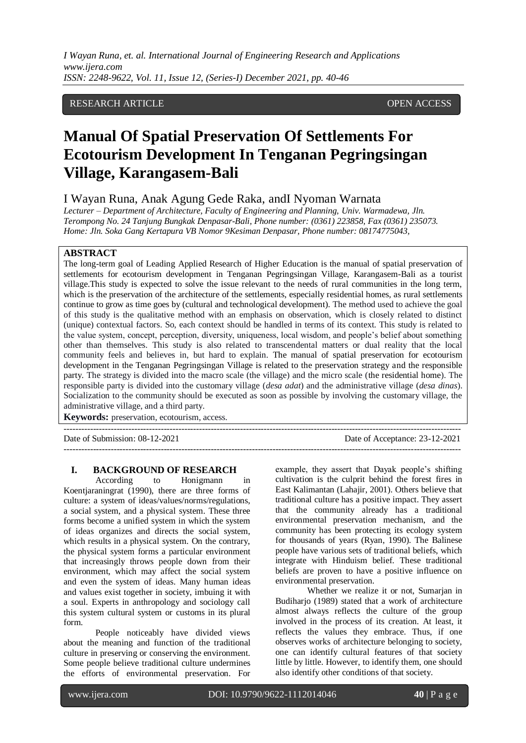*I Wayan Runa, et. al. International Journal of Engineering Research and Applications www.ijera.com ISSN: 2248-9622, Vol. 11, Issue 12, (Series-I) December 2021, pp. 40-46*

## RESEARCH ARTICLE **CONSERVERS** OPEN ACCESS

# **Manual Of Spatial Preservation Of Settlements For Ecotourism Development In Tenganan Pegringsingan Village, Karangasem-Bali**

I Wayan Runa, Anak Agung Gede Raka, andI Nyoman Warnata

*Lecturer – Department of Architecture, Faculty of Engineering and Planning, Univ. Warmadewa, Jln. Terompong No. 24 Tanjung Bungkak Denpasar-Bali, Phone number: (0361) 223858, Fax (0361) 235073. Home: Jln. Soka Gang Kertapura VB Nomor 9Kesiman Denpasar, Phone number: 08174775043,* 

### **ABSTRACT**

The long-term goal of Leading Applied Research of Higher Education is the manual of spatial preservation of settlements for ecotourism development in Tenganan Pegringsingan Village, Karangasem-Bali as a tourist village.This study is expected to solve the issue relevant to the needs of rural communities in the long term, which is the preservation of the architecture of the settlements, especially residential homes, as rural settlements continue to grow as time goes by (cultural and technological development). The method used to achieve the goal of this study is the qualitative method with an emphasis on observation, which is closely related to distinct (unique) contextual factors. So, each context should be handled in terms of its context. This study is related to the value system, concept, perception, diversity, uniqueness, local wisdom, and people's belief about something other than themselves. This study is also related to transcendental matters or dual reality that the local community feels and believes in, but hard to explain. The manual of spatial preservation for ecotourism development in the Tenganan Pegringsingan Village is related to the preservation strategy and the responsible party. The strategy is divided into the macro scale (the village) and the micro scale (the residential home). The responsible party is divided into the customary village (*desa adat*) and the administrative village (*desa dinas*). Socialization to the community should be executed as soon as possible by involving the customary village, the administrative village, and a third party.

---------------------------------------------------------------------------------------------------------------------------------------

**Keywords:** preservation, ecotourism, access.

Date of Submission: 08-12-2021 Date of Acceptance: 23-12-2021

---------------------------------------------------------------------------------------------------------------------------------------

#### **I. BACKGROUND OF RESEARCH**

According to Honigmann in Koentjaraningrat (1990), there are three forms of culture: a system of ideas/values/norms/regulations, a social system, and a physical system. These three forms become a unified system in which the system of ideas organizes and directs the social system, which results in a physical system. On the contrary, the physical system forms a particular environment that increasingly throws people down from their environment, which may affect the social system and even the system of ideas. Many human ideas and values exist together in society, imbuing it with a soul. Experts in anthropology and sociology call this system cultural system or customs in its plural form.

People noticeably have divided views about the meaning and function of the traditional culture in preserving or conserving the environment. Some people believe traditional culture undermines the efforts of environmental preservation. For

example, they assert that Dayak people's shifting cultivation is the culprit behind the forest fires in East Kalimantan (Lahajir, 2001). Others believe that traditional culture has a positive impact. They assert that the community already has a traditional environmental preservation mechanism, and the community has been protecting its ecology system for thousands of years (Ryan, 1990). The Balinese people have various sets of traditional beliefs, which integrate with Hinduism belief. These traditional beliefs are proven to have a positive influence on environmental preservation.

Whether we realize it or not, Sumarjan in Budiharjo (1989) stated that a work of architecture almost always reflects the culture of the group involved in the process of its creation. At least, it reflects the values they embrace. Thus, if one observes works of architecture belonging to society, one can identify cultural features of that society little by little. However, to identify them, one should also identify other conditions of that society.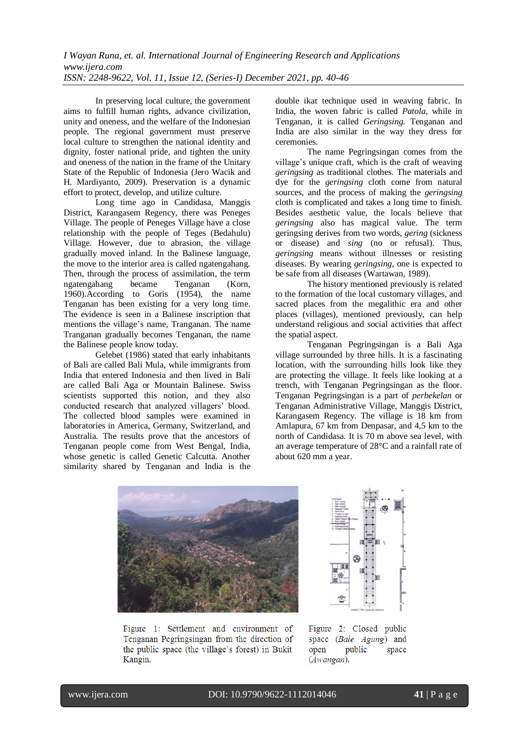In preserving local culture, the government aims to fulfill human rights, advance civilization, unity and oneness, and the welfare of the Indonesian people. The regional government must preserve local culture to strengthen the national identity and dignity, foster national pride, and tighten the unity and oneness of the nation in the frame of the Unitary State of the Republic of Indonesia (Jero Wacik and H. Mardiyanto, 2009). Preservation is a dynamic effort to protect, develop, and utilize culture.

Long time ago in Candidasa, Manggis District, Karangasem Regency, there was Peneges Village. The people of Peneges Village have a close relationship with the people of Teges (Bedahulu) Village. However, due to abrasion, the village gradually moved inland. In the Balinese language, the move to the interior area is called ngatengahang. Then, through the process of assimilation, the term ngatengahang became Tenganan (Korn, 1960).According to Goris (1954), the name Tenganan has been existing for a very long time. The evidence is seen in a Balinese inscription that mentions the village's name, Tranganan. The name Tranganan gradually becomes Tenganan, the name the Balinese people know today.

Gelebet (1986) stated that early inhabitants of Bali are called Bali Mula, while immigrants from India that entered Indonesia and then lived in Bali are called Bali Aga or Mountain Balinese. Swiss scientists supported this notion, and they also conducted research that analyzed villagers' blood. The collected blood samples were examined in laboratories in America, Germany, Switzerland, and Australia. The results prove that the ancestors of Tenganan people come from West Bengal, India, whose genetic is called Genetic Calcutta. Another similarity shared by Tenganan and India is the double ikat technique used in weaving fabric. In India, the woven fabric is called *Patola*, while in Tenganan, it is called *Geringsing*. Tenganan and India are also similar in the way they dress for ceremonies.

The name Pegringsingan comes from the village's unique craft, which is the craft of weaving *geringsing* as traditional clothes. The materials and dye for the *geringsing* cloth come from natural sources, and the process of making the *geringsing* cloth is complicated and takes a long time to finish. Besides aesthetic value, the locals believe that *geringsing* also has magical value. The term geringsing derives from two words, *gering* (sickness or disease) and *sing* (no or refusal). Thus, *geringsing* means without illnesses or resisting diseases. By wearing *geringsing*, one is expected to be safe from all diseases (Wartawan, 1989).

The history mentioned previously is related to the formation of the local customary villages, and sacred places from the megalithic era and other places (villages), mentioned previously, can help understand religious and social activities that affect the spatial aspect.

Tenganan Pegringsingan is a Bali Aga village surrounded by three hills. It is a fascinating location, with the surrounding hills look like they are protecting the village. It feels like looking at a trench, with Tenganan Pegringsingan as the floor. Tenganan Pegringsingan is a part of *perbekelan* or Tenganan Administrative Village, Manggis District, Karangasem Regency. The village is 18 km from Amlapura, 67 km from Denpasar, and 4,5 km to the north of Candidasa. It is 70 m above sea level, with an average temperature of 28°C and a rainfall rate of about 620 mm a year.



Figure 1: Settlement and environment of Tenganan Pegringsingan from the direction of the public space (the village's forest) in Bukit Kangin.



Figure 2: Closed public space (Bale Agung) and open public space (Awangan).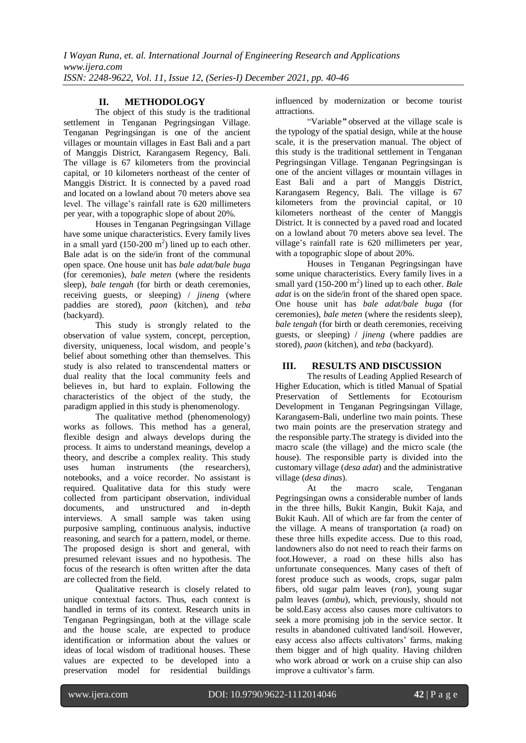# **II. METHODOLOGY**

The object of this study is the traditional settlement in Tenganan Pegringsingan Village. Tenganan Pegringsingan is one of the ancient villages or mountain villages in East Bali and a part of Manggis District, Karangasem Regency, Bali. The village is 67 kilometers from the provincial capital, or 10 kilometers northeast of the center of Manggis District. It is connected by a paved road and located on a lowland about 70 meters above sea level. The village's rainfall rate is 620 millimeters per year, with a topographic slope of about 20%.

Houses in Tenganan Pegringsingan Village have some unique characteristics. Every family lives in a small yard  $(150{\text -}200 \text{ m}^2)$  lined up to each other. Bale adat is on the side/in front of the communal open space. One house unit has *bale adat/bale buga* (for ceremonies), *bale meten* (where the residents sleep), *bale tengah* (for birth or death ceremonies, receiving guests, or sleeping) / *jineng* (where paddies are stored), *paon* (kitchen), and *teba* (backyard).

This study is strongly related to the observation of value system, concept, perception, diversity, uniqueness, local wisdom, and people's belief about something other than themselves. This study is also related to transcendental matters or dual reality that the local community feels and believes in, but hard to explain. Following the characteristics of the object of the study, the paradigm applied in this study is phenomenology.

The qualitative method (phenomenology) works as follows. This method has a general, flexible design and always develops during the process. It aims to understand meanings, develop a theory, and describe a complex reality. This study uses human instruments (the researchers), notebooks, and a voice recorder. No assistant is required. Qualitative data for this study were collected from participant observation, individual documents, and unstructured and in-depth interviews. A small sample was taken using purposive sampling, continuous analysis, inductive reasoning, and search for a pattern, model, or theme. The proposed design is short and general, with presumed relevant issues and no hypothesis. The focus of the research is often written after the data are collected from the field.

Qualitative research is closely related to unique contextual factors. Thus, each context is handled in terms of its context. Research units in Tenganan Pegringsingan, both at the village scale and the house scale, are expected to produce identification or information about the values or ideas of local wisdom of traditional houses. These values are expected to be developed into a preservation model for residential buildings

influenced by modernization or become tourist attractions.

"Variable*"* observed at the village scale is the typology of the spatial design, while at the house scale, it is the preservation manual. The object of this study is the traditional settlement in Tenganan Pegringsingan Village. Tenganan Pegringsingan is one of the ancient villages or mountain villages in East Bali and a part of Manggis District, Karangasem Regency, Bali. The village is 67 kilometers from the provincial capital, or 10 kilometers northeast of the center of Manggis District. It is connected by a paved road and located on a lowland about 70 meters above sea level. The village's rainfall rate is 620 millimeters per year, with a topographic slope of about 20%.

Houses in Tenganan Pegringsingan have some unique characteristics. Every family lives in a small yard (150-200 m<sup>2</sup>) lined up to each other. *Bale adat* is on the side/in front of the shared open space. One house unit has *bale adat/bale buga* (for ceremonies), *bale meten* (where the residents sleep), *bale tengah* (for birth or death ceremonies, receiving guests, or sleeping) / *jineng* (where paddies are stored), *paon* (kitchen), and *teba* (backyard).

# **III. RESULTS AND DISCUSSION**

The results of Leading Applied Research of Higher Education, which is titled Manual of Spatial Preservation of Settlements for Ecotourism Development in Tenganan Pegringsingan Village, Karangasem-Bali, underline two main points. These two main points are the preservation strategy and the responsible party.The strategy is divided into the macro scale (the village) and the micro scale (the house). The responsible party is divided into the customary village (*desa adat*) and the administrative village (*desa dinas*).

At the macro scale, Tenganan Pegringsingan owns a considerable number of lands in the three hills, Bukit Kangin, Bukit Kaja, and Bukit Kauh. All of which are far from the center of the village. A means of transportation (a road) on these three hills expedite access. Due to this road, landowners also do not need to reach their farms on foot.However, a road on these hills also has unfortunate consequences. Many cases of theft of forest produce such as woods, crops, sugar palm fibers, old sugar palm leaves (*ron*), young sugar palm leaves (*ambu*), which, previously, should not be sold.Easy access also causes more cultivators to seek a more promising job in the service sector. It results in abandoned cultivated land/soil. However, easy access also affects cultivators' farms, making them bigger and of high quality. Having children who work abroad or work on a cruise ship can also improve a cultivator's farm.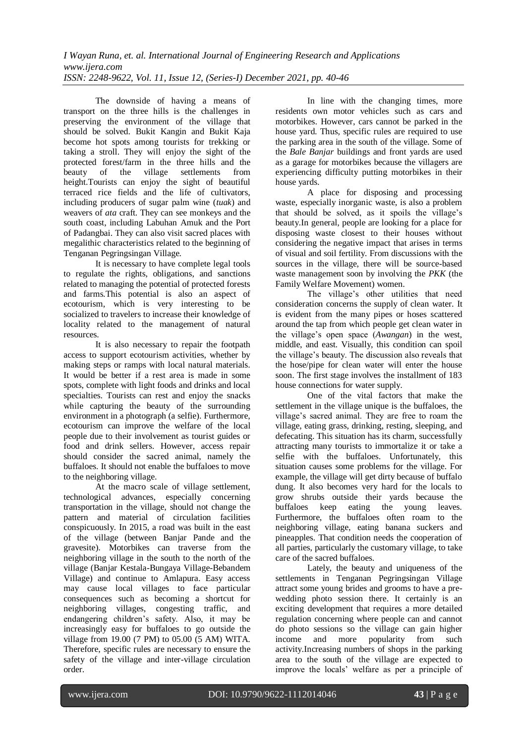The downside of having a means of transport on the three hills is the challenges in preserving the environment of the village that should be solved. Bukit Kangin and Bukit Kaja become hot spots among tourists for trekking or taking a stroll. They will enjoy the sight of the protected forest/farm in the three hills and the beauty of the village settlements from height.Tourists can enjoy the sight of beautiful terraced rice fields and the life of cultivators, including producers of sugar palm wine (*tuak*) and weavers of *ata* craft. They can see monkeys and the south coast, including Labuhan Amuk and the Port of Padangbai. They can also visit sacred places with megalithic characteristics related to the beginning of Tenganan Pegringsingan Village.

It is necessary to have complete legal tools to regulate the rights, obligations, and sanctions related to managing the potential of protected forests and farms.This potential is also an aspect of ecotourism, which is very interesting to be socialized to travelers to increase their knowledge of locality related to the management of natural resources.

It is also necessary to repair the footpath access to support ecotourism activities, whether by making steps or ramps with local natural materials. It would be better if a rest area is made in some spots, complete with light foods and drinks and local specialties. Tourists can rest and enjoy the snacks while capturing the beauty of the surrounding environment in a photograph (a selfie). Furthermore, ecotourism can improve the welfare of the local people due to their involvement as tourist guides or food and drink sellers. However, access repair should consider the sacred animal, namely the buffaloes. It should not enable the buffaloes to move to the neighboring village.

At the macro scale of village settlement, technological advances, especially concerning transportation in the village, should not change the pattern and material of circulation facilities conspicuously. In 2015, a road was built in the east of the village (between Banjar Pande and the gravesite). Motorbikes can traverse from the neighboring village in the south to the north of the village (Banjar Kestala-Bungaya Village-Bebandem Village) and continue to Amlapura. Easy access may cause local villages to face particular consequences such as becoming a shortcut for neighboring villages, congesting traffic, and endangering children's safety. Also, it may be increasingly easy for buffaloes to go outside the village from 19.00 (7 PM) to 05.00 (5 AM) WITA. Therefore, specific rules are necessary to ensure the safety of the village and inter-village circulation order.

In line with the changing times, more residents own motor vehicles such as cars and motorbikes. However, cars cannot be parked in the house yard. Thus, specific rules are required to use the parking area in the south of the village. Some of the *Bale Banjar* buildings and front yards are used as a garage for motorbikes because the villagers are experiencing difficulty putting motorbikes in their house yards.

A place for disposing and processing waste, especially inorganic waste, is also a problem that should be solved, as it spoils the village's beauty.In general, people are looking for a place for disposing waste closest to their houses without considering the negative impact that arises in terms of visual and soil fertility. From discussions with the sources in the village, there will be source-based waste management soon by involving the *PKK* (the Family Welfare Movement) women.

The village's other utilities that need consideration concerns the supply of clean water. It is evident from the many pipes or hoses scattered around the tap from which people get clean water in the village's open space (*Awangan*) in the west, middle, and east. Visually, this condition can spoil the village's beauty. The discussion also reveals that the hose/pipe for clean water will enter the house soon. The first stage involves the installment of 183 house connections for water supply.

One of the vital factors that make the settlement in the village unique is the buffaloes, the village's sacred animal. They are free to roam the village, eating grass, drinking, resting, sleeping, and defecating. This situation has its charm, successfully attracting many tourists to immortalize it or take a selfie with the buffaloes. Unfortunately, this situation causes some problems for the village. For example, the village will get dirty because of buffalo dung. It also becomes very hard for the locals to grow shrubs outside their yards because the buffaloes keep eating the young leaves. Furthermore, the buffaloes often roam to the neighboring village, eating banana suckers and pineapples. That condition needs the cooperation of all parties, particularly the customary village, to take care of the sacred buffaloes.

Lately, the beauty and uniqueness of the settlements in Tenganan Pegringsingan Village attract some young brides and grooms to have a prewedding photo session there. It certainly is an exciting development that requires a more detailed regulation concerning where people can and cannot do photo sessions so the village can gain higher income and more popularity from such activity.Increasing numbers of shops in the parking area to the south of the village are expected to improve the locals' welfare as per a principle of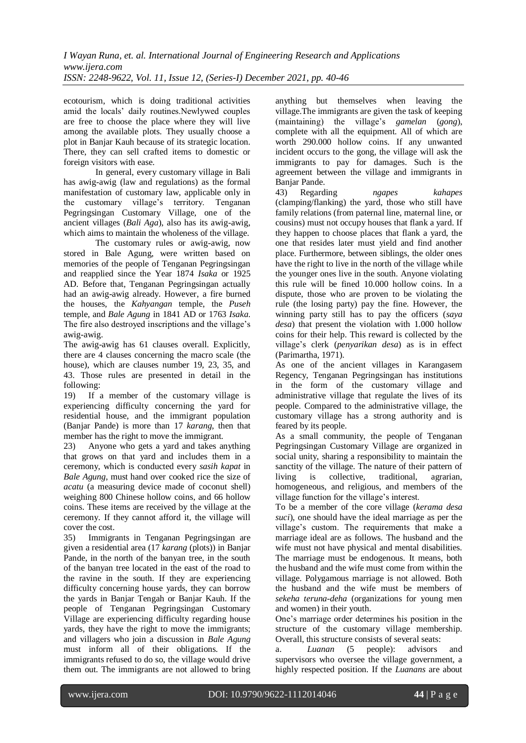ecotourism, which is doing traditional activities amid the locals' daily routines.Newlywed couples are free to choose the place where they will live among the available plots. They usually choose a plot in Banjar Kauh because of its strategic location. There, they can sell crafted items to domestic or foreign visitors with ease.

In general, every customary village in Bali has awig-awig (law and regulations) as the formal manifestation of customary law, applicable only in the customary village's territory. Tenganan Pegringsingan Customary Village, one of the ancient villages (*Bali Aga*), also has its awig-awig, which aims to maintain the wholeness of the village.

The customary rules or awig-awig, now stored in Bale Agung, were written based on memories of the people of Tenganan Pegringsingan and reapplied since the Year 1874 *Isaka* or 1925 AD. Before that, Tenganan Pegringsingan actually had an awig-awig already. However, a fire burned the houses, the *Kahyangan* temple, the *Puseh* temple, and *Bale Agung* in 1841 AD or 1763 *Isaka*. The fire also destroyed inscriptions and the village's awig-awig.

The awig-awig has 61 clauses overall. Explicitly, there are 4 clauses concerning the macro scale (the house), which are clauses number 19, 23, 35, and 43. Those rules are presented in detail in the following:

19) If a member of the customary village is experiencing difficulty concerning the yard for residential house, and the immigrant population (Banjar Pande) is more than 17 *karang*, then that member has the right to move the immigrant.

23) Anyone who gets a yard and takes anything that grows on that yard and includes them in a ceremony, which is conducted every *sasih kapat* in *Bale Agung*, must hand over cooked rice the size of *acatu* (a measuring device made of coconut shell) weighing 800 Chinese hollow coins, and 66 hollow coins. These items are received by the village at the ceremony. If they cannot afford it, the village will cover the cost.

35) Immigrants in Tenganan Pegringsingan are given a residential area (17 *karang* (plots)) in Banjar Pande, in the north of the banyan tree, in the south of the banyan tree located in the east of the road to the ravine in the south. If they are experiencing difficulty concerning house yards, they can borrow the yards in Banjar Tengah or Banjar Kauh. If the people of Tenganan Pegringsingan Customary Village are experiencing difficulty regarding house yards, they have the right to move the immigrants; and villagers who join a discussion in *Bale Agung* must inform all of their obligations. If the immigrants refused to do so, the village would drive them out. The immigrants are not allowed to bring anything but themselves when leaving the village.The immigrants are given the task of keeping (maintaining) the village's *gamelan* (*gong*), complete with all the equipment. All of which are worth 290.000 hollow coins. If any unwanted incident occurs to the gong, the village will ask the immigrants to pay for damages. Such is the agreement between the village and immigrants in Banjar Pande.

43) Regarding *ngapes kahapes* (clamping/flanking) the yard, those who still have family relations (from paternal line, maternal line, or cousins) must not occupy houses that flank a yard. If they happen to choose places that flank a yard, the one that resides later must yield and find another place. Furthermore, between siblings, the older ones have the right to live in the north of the village while the younger ones live in the south. Anyone violating this rule will be fined 10.000 hollow coins. In a dispute, those who are proven to be violating the rule (the losing party) pay the fine. However, the winning party still has to pay the officers (*saya desa*) that present the violation with 1.000 hollow coins for their help. This reward is collected by the village's clerk (*penyarikan desa*) as is in effect (Parimartha, 1971).

As one of the ancient villages in Karangasem Regency, Tenganan Pegringsingan has institutions in the form of the customary village and administrative village that regulate the lives of its people. Compared to the administrative village, the customary village has a strong authority and is feared by its people.

As a small community, the people of Tenganan Pegringsingan Customary Village are organized in social unity, sharing a responsibility to maintain the sanctity of the village. The nature of their pattern of living is collective, traditional, agrarian, homogeneous, and religious, and members of the village function for the village's interest.

To be a member of the core village (*kerama desa suci*), one should have the ideal marriage as per the village's custom. The requirements that make a marriage ideal are as follows. The husband and the wife must not have physical and mental disabilities. The marriage must be endogenous. It means, both the husband and the wife must come from within the village. Polygamous marriage is not allowed. Both the husband and the wife must be members of *sekeha teruna-deha* (organizations for young men and women) in their youth.

One's marriage order determines his position in the structure of the customary village membership. Overall, this structure consists of several seats:

a. *Luanan* (5 people): advisors and supervisors who oversee the village government, a highly respected position. If the *Luanans* are about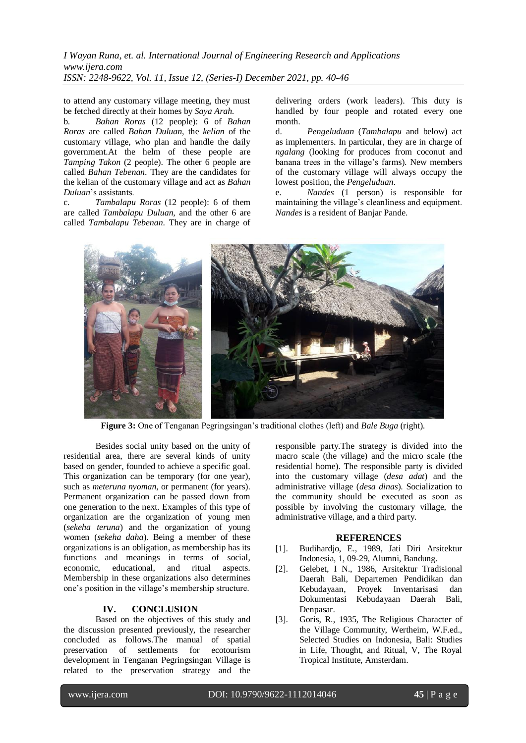*I Wayan Runa, et. al. International Journal of Engineering Research and Applications www.ijera.com ISSN: 2248-9622, Vol. 11, Issue 12, (Series-I) December 2021, pp. 40-46*

to attend any customary village meeting, they must be fetched directly at their homes by *Saya Arah*.

b. *Bahan Roras* (12 people): 6 of *Bahan Roras* are called *Bahan Duluan*, the *kelian* of the customary village, who plan and handle the daily government.At the helm of these people are *Tamping Takon* (2 people). The other 6 people are called *Bahan Tebenan*. They are the candidates for the kelian of the customary village and act as *Bahan Duluan*'s assistants.

c. *Tambalapu Roras* (12 people): 6 of them are called *Tambalapu Duluan*, and the other 6 are called *Tambalapu Tebenan*. They are in charge of delivering orders (work leaders). This duty is handled by four people and rotated every one month.

d. *Pengeluduan* (*Tambalapu* and below) act as implementers. In particular, they are in charge of *ngalang* (looking for produces from coconut and banana trees in the village's farms). New members of the customary village will always occupy the lowest position, the *Pengeluduan*.

e. *Nandes* (1 person) is responsible for maintaining the village's cleanliness and equipment. *Nandes* is a resident of Banjar Pande.



**Figure 3:** One of Tenganan Pegringsingan's traditional clothes (left) and *Bale Buga* (right).

Besides social unity based on the unity of residential area, there are several kinds of unity based on gender, founded to achieve a specific goal. This organization can be temporary (for one year), such as *meteruna nyoman*, or permanent (for years). Permanent organization can be passed down from one generation to the next. Examples of this type of organization are the organization of young men (*sekeha teruna*) and the organization of young women (*sekeha daha*). Being a member of these organizations is an obligation, as membership has its functions and meanings in terms of social, economic, educational, and ritual aspects. Membership in these organizations also determines one's position in the village's membership structure.

## **IV. CONCLUSION**

Based on the objectives of this study and the discussion presented previously, the researcher concluded as follows.The manual of spatial preservation of settlements for ecotourism development in Tenganan Pegringsingan Village is related to the preservation strategy and the responsible party.The strategy is divided into the macro scale (the village) and the micro scale (the residential home). The responsible party is divided into the customary village (*desa adat*) and the administrative village (*desa dinas*). Socialization to the community should be executed as soon as possible by involving the customary village, the administrative village, and a third party.

#### **REFERENCES**

- [1]. Budihardjo, E., 1989, Jati Diri Arsitektur Indonesia, 1, 09-29, Alumni, Bandung.
- [2]. Gelebet, I N., 1986, Arsitektur Tradisional Daerah Bali, Departemen Pendidikan dan Kebudayaan, Proyek Inventarisasi dan Dokumentasi Kebudayaan Daerah Bali, Denpasar.
- [3]. Goris, R., 1935, The Religious Character of the Village Community, Wertheim, W.F.ed., Selected Studies on Indonesia, Bali: Studies in Life, Thought, and Ritual, V, The Royal Tropical Institute, Amsterdam.